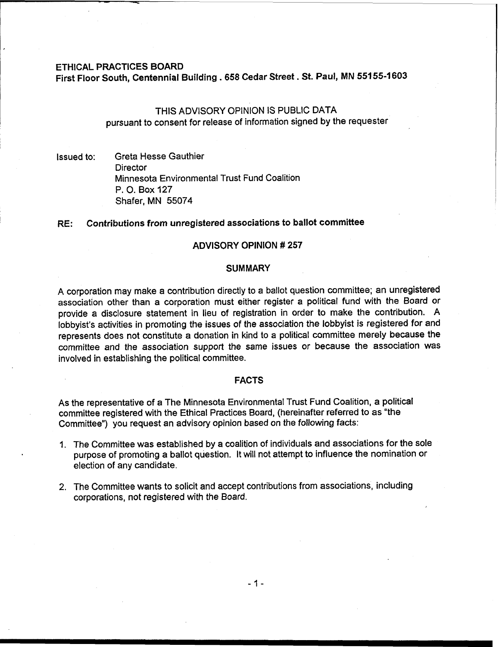#### ETHICAL PRACTICES BOARD

First Floor South, Centennial Building **.658** Cedar Street. St. Paul, MN **55155-1603** 

# THIS ADVISORY OPINION IS PUBLIC DATA pursuant to consent for release of information signed by the requester

Issued to: Greta Hesse Gauthier **Director** Minnesota Environmental Trust Fund Coalition P. 0. Box 127 Shafer, MN 55074

### RE: Contributions from unregistered associations to ballot committee

# ADVISORY OPINION # **257**

#### **SUMMARY**

A corporation may make a contribution directly to a ballot question committee; an unregistered association other than a corporation must either register a political fund with the Board or provide a disclosure statement in lieu of registration in order to make the contribution. A lobbyist's activities in promoting the issues of the association the lobbyist is registered for and represents does not constitute a donation in kind to a political committee merely because the committee and the association support the same issues or because the association was involved in establishing the political committee.

### FACTS

As the representative of a The Minnesota Environmental Trust Fund Coalition, a political committee registered with the Ethical Practices Board, (hereinafter referred to as "the Committee") you request an advisory opinion based on the following facts:

- I. The Committee was established by a coalition of individuals and associations for the sole purpose of promoting a ballot question. It will not attempt to influence the nomination or election of any candidate.
- 2. The Committee wants to solicit and accept contributions from associations, including corporations, not registered with the Board.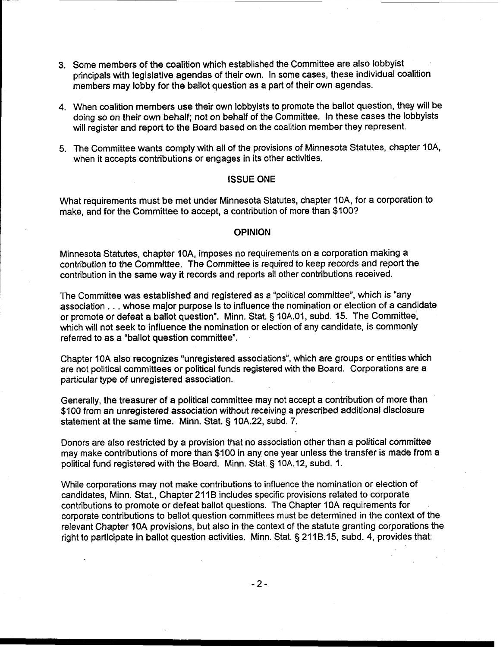- 3. Some members of the coalition which established the Committee are also lobbyist principals with legislative agendas of their own. In some cases, these individual coalition members may lobby for the ballot question as a part of their own agendas.
- 4. When coalition members use their own lobbyists to promote the ballot question, they will be doing so on their own behalf; not on behalf of the Committee. In these cases the lobbyists will register and report to the Board based on the coalition member they represent.
- 5. The Committee wants comply with all of the provisions of Minnesota Statutes, chapter IOA, when it accepts contributions or engages in its other activities.

### ISSUE ONE

What requirements must be met under Minnesota Statutes, chapter IOA, for a corporation to make, and for the Committee to accept, a contribution of more than \$100?

### OPINION

Minnesota Statutes, chapter 1 **OA,** imposes no requirements on a corporation making a contribution to the Committee. The Committee is required to keep records and report the contribution in the same way it records and reports all other contributions received.

The Committee was established and registered as a "political committee", which is "any association . . . whose major purpose is to influence the nomination or election of a candidate or promote or defeat **a** ballot question". Minn. Stat. § lOA.01, subd. 15. The Committee, which will not seek to influence the nomination or election of any candidate, is commonly referred to as a "ballot question committee".

Chapter IOA also recognizes "unregistered associations", which are groups or entities which are not political committees or political funds registered with the Board. Corporations are a particular type of unregistered association.

Generally, the treasurer of a political committee may not accept a contribution of more than \$100 from an unregistered association without receiving a prescribed additional disclosure statement at the same time. Minn. Stat. § 10A.22, subd. 7.

Donors are also restricted by a provision that no association other than a political committee may make contributions of more than \$100 in any one year unless the transfer is made from a political fund registered with the Board. Minn. Stat. § 10A.12, subd. 1.

While corporations may not make contributions to influence the nomination or election of candidates, Minn. Stat., Chapter 211B includes specific provisions related to corporate contributions to promote or defeat ballot questions. The Chapter 10A requirements for corporate contributions to ballot question committees must be determined in the context of the relevant Chapter 10A provisions, but also in the context of the statute granting corporations the right to participate in ballot question activities. Minn. Stat. § 211B.15, subd. 4, provides that: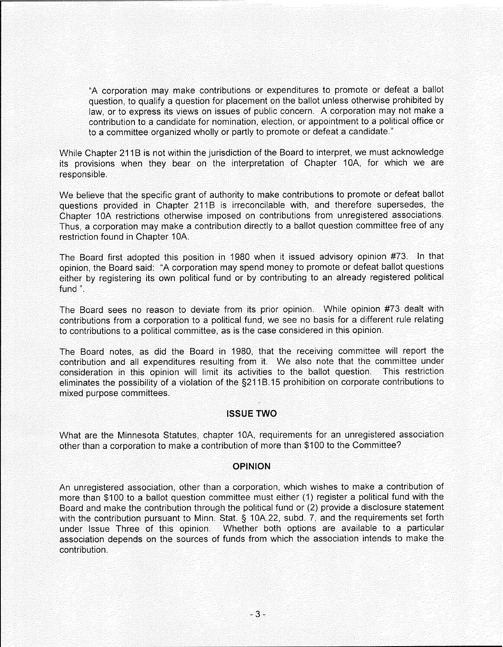"A corporation may make contributions or expenditures to promote or defeat a ballot question, to qualify a question for placement on the ballot unless otherwise prohibited by law, or to express its views on issues of public concern. A corporation may not make a contribution to a candidate for nomination, election, or appointment to a political office or to a committee organized wholly or partly to promote or defeat a candidate."

While Chapter 211B is not within the jurisdiction of the Board to interpret, we must acknowledge its provisions when they bear on the interpretation of Chapter 10A, for which we are responsible.

We believe that the specific grant of authority to make contributions to promote or defeat ballot questions provided in Chapter 211B is irreconcilable with, and therefore supersedes, the Chapter 10A restrictions otherwise imposed on contributions from unregistered associations. Thus, a corporation may make a contribution directly to a ballot question committee free of any restriction found in Chapter 10A.

The Board first adopted this position in 1980 when it issued advisory opinion #73. In that opinion, the Board said: "A corporation may spend money to promote or defeat ballot questions either by registering its own political fund or by contributing to an already registered political fund".

The Board sees no reason to deviate from its prior opinion. While opinion #73 dealt with contributions from a corporation to a political fund, we see no basis for a different rule relating to contributions to a political committee, as is the case considered in this opinion.

The Board notes, as did the Board in 1980, that the receiving committee will report the contribution and all expenditures resulting from it. We also note that the committee under consideration in this opinion will limit its activities to the ballot question. This restriction eliminates the possibility of a violation of the §211B.15 prohibition on corporate contributions to mixed purpose committees.

# **ISSUE TWO**

What are the Minnesota Statutes, chapter 10A, requirements for an unregistered association other than a corporation to make a contribution of more than \$100 to the Committee?

# **OPINION**

An unregistered association, other than a corporation, which wishes to make a contribution of more than \$100 to a ballot question committee must either (1) register a political fund with the Board and make the contribution through the political fund or (2) provide a disclosure statement with the contribution pursuant to Minn. Stat. § 10A.22, subd. 7, and the requirements set forth under Issue Three of this opinion. Whether both options are available to a particular association depends on the sources of funds from which the association intends to make the contribution.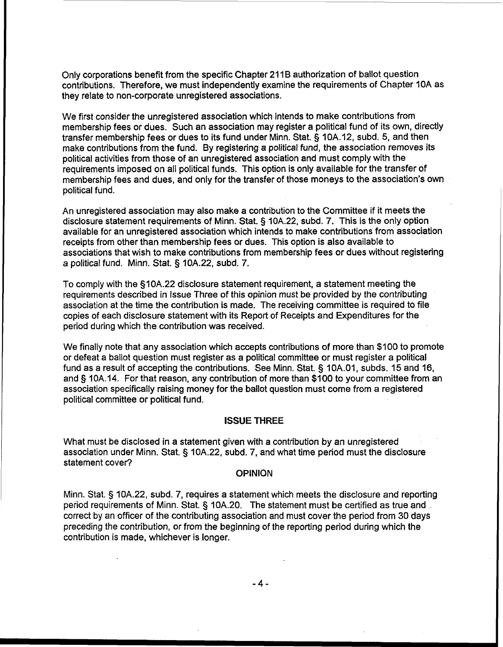Only corporations benefit from the specific Chapter 211B authorization of ballot question contributions. Therefore, we must independently examine the requirements of Chapter 10A as they relate to non-corporate unregistered associations.

We first consider the unregistered association which intends to make contributions from membership fees or dues. Such an association may register a political fund of its own, directly transfer membership fees or dues to its fund under Minn. Stat. § 10A.12, subd. 5, and then make contributions from the fund. By registering a political fund, the association removes its political activities from those of an unregistered association and must comply with the requirements imposed on all political funds. This option is only available for the transfer of membership fees and dues, and only for the transfer of those moneys to the association's own political fund.

An unregistered association may also make a contribution to the Committee if it meets the disclosure statement requirements of Minn. Stat. § 10A.22, subd. 7. This is the only option available for an unregistered association which intends to make contributions from association receipts from other than membership fees or dues. This option is also available to associations that wish to make contributions from membership fees or dues without registering a political fund. Minn. Stat. § 10A.22, subd. 7.

To comply with the S10A.22 disclosure statement requirement, a statement meeting the requirements described in Issue Three of this opinion must be provided by the contributing association at the time the contribution is made. The receiving committee is required to file copies of each disclosure statement with its Report of Receipts and Expenditures for the period during which the contribution was received.

We finally note that any association which accepts contributions of more than \$100 to promote or defeat a ballot question must register as a political committee or must register a political fund as a result of accepting the contributions. See Minn. Stat. § 10A.01, subds. 15 and 16, and § 10A.14. For that reason, any contribution of more than \$100 to your committee from an association specifically raising money for the ballot question must come from a registered political committee or political fund.

### **ISSUE THREE**

What must be disclosed in a statement given with a contribution by an unregistered association under Minn. Stat. § 10A.22, subd. 7, and what time period must the disclosure statement cover?

#### **OPINION**

Minn. Stat. § 10A.22, subd. 7, requires a statement which meets the disclosure and reporting period requirements of Minn. Stat. § 10A.20. The statement must be certified as true and correct by an officer of the contributing association and must cover the period from 30 days preceding the contribution, or from the beginning of the reporting period during which the contribution is made, whichever is longer.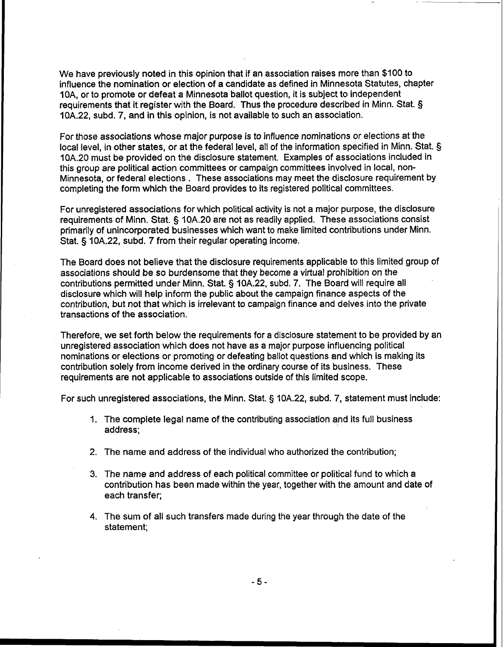We have previously noted in this opinion that if an association raises more than \$100 to influence the nomination or election of a candidate as defined in Minnesota Statutes, chapter 1 OA, or to promote or defeat a Minnesota ballot question, it is subject to independent requirements that it register with the Board. Thus the procedure described in Minn. Stat. § 10A.22, subd. 7, and in this opinion, is not available to such an association.

For those associations whose major purpose is to influence nominations or elections at the local level, in other states, or at the federal level, all of the information specified in Minn. Stat. § 10A.20 must be provided on the disclosure statement. Examples of associations included in this group are political action committees or campaign committees involved in local, non-Minnesota, or federal elections . These associations may meet the disclosure requirement by completing the form which the Board provides to its registered political committees.

For unregistered associations for which political activity is not a major purpose, the disclosure requirements of Minn. Stat. § 10A.20 are not as readily applied. These associations consist primarily of unincorporated businesses which want to make limited contributions under Minn. Stat. § 10A.22, subd. **7** from their regular operating income.

The Board does not believe that the disclosure requirements applicable to this limited group of associations should be so burdensome that they become a virtual prohibition on the contributions permitted under Minn. Stat. § 10A.22, subd. 7. The Board will require all disclosure which will help inform the public about the campaign finance aspects of the contribution, but not that which is irrelevant to campaign finance and delves into the private transactions of the association.

Therefore, we set forth below the requirements for a disclosure statement to be provided by an unregistered association which does not have as a major purpose influencing political nominations or elections or promoting or defeating ballot questions and which is making its contribution solely from income derived in the ordinary course of its business. These requirements are not applicable to associations outside of this limited scope.

For such unregistered associations, the Minn. Stat. § IOA.22, subd. 7, statement must include:

- 1. The complete legal name of the contributing association and its full business address;
- 2. The name and address of the individual who authorized the contribution;
- 3. The name and address of each political committee or political fund to which a contribution has been made within the year, together with the amount and date of each transfer;
- **4.** The sum of all such transfers made during the year through the date of the statement;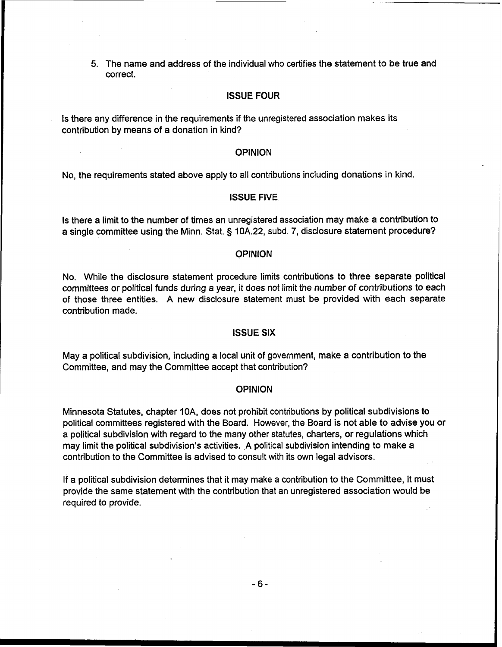5. The name and address of the individual who certifies the statement to be true and correct.

### ISSUE FOUR

Is there any difference in the requirements if the unregistered association makes its contribution by means of a donation in kind?

# OPINION

No, the requirements stated above apply to all contributions including donations in kind.

### ISSUE **FIVE**

Is there a limit to the number of times an unregistered association may make a contribution to a single committee using the Minn. Stat. § 10A.22, subd. 7, disclosure statement procedure?

### OPINION

No. While the disclosure statement procedure limits contributions to three separate political committees or political funds during a year, it does not limit the number of contributions to each of those three entities. A new disclosure statement must be provided with each separate contribution made.

# ISSUE SIX

May a political subdivision, including a local unit of government, make a contribution to the Committee, and may the Committee accept that contribution?

### OPINION

Minnesota Statutes, chapter IOA, does not prohibit contributions by political subdivisions to political committees registered with the Board. However, the Board is not able to advise you or a political subdivision with regard to the many other statutes, charters, or regulations which may limit the political subdivision's activities. A political subdivision intending to make a contribution to the Committee is advised to consult with its own legal advisors.

If a political subdivision determines that it may make a contribution to the Committee, it must provide the same statement with the contribution that an unregistered association would be required to provide.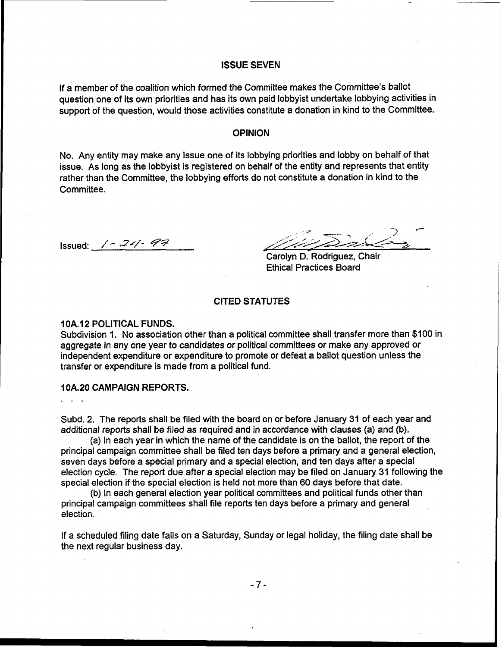# **ISSUE SEVEN**

If a member of the coalition which formed the Committee makes the Committee's ballot question one of its own priorities and has its own paid lobbyist undertake lobbying activities in support of the question, would those activities constitute a donation in kind to the Committee.

#### **OPINION**

No. Any entity may make any issue one of its lobbying priorities and lobby on behalf of that issue. As long as the lobbyist is registered on behalf of the entity and represents that entity rather than the Committee, the lobbying efforts do not constitute a donation in kind to the Committee.

Issued: / - **2~7-** *99* 

 $\sum_{i=1}^{n}$ 

Carolyn D. Rodriguez, Chair Ethical Practices Board

# **CITED STATUTES**

### **1 0A.12 POLITICAL FUNDS.**

Subdivision **1.** No association other than a political committee shall transfer more than \$100 in aggregate in any one year to candidates or political committees or make any approved or independent expenditure or expenditure to promote or defeat a ballot question unless the transfer or expenditure is made from a political fund.

### **10A.20 CAMPAIGN REPORTS.**

Subd. 2. The reports shall be filed with the board on or before January **31** of each year and additional reports shall be filed as required and in accordance with clauses (a) and (b).

(a) In each year in which the name of the candidate is on the ballot, the report of the principal campaign committee shall be filed ten days before a primary and a general election, seven days before a special primary and a special election, and ten days after a special election cycle. The report due after **a** special election may be filed on January 31 following the special election if the special election is held not more than 60 days before that date.

(b) In each general election year political committees and political funds other than principal campaign committees shall file reports ten days before a primary and general election.

If a scheduled filing date falls on a Saturday, Sunday or legal holiday, the filing date shall be the next regular business day.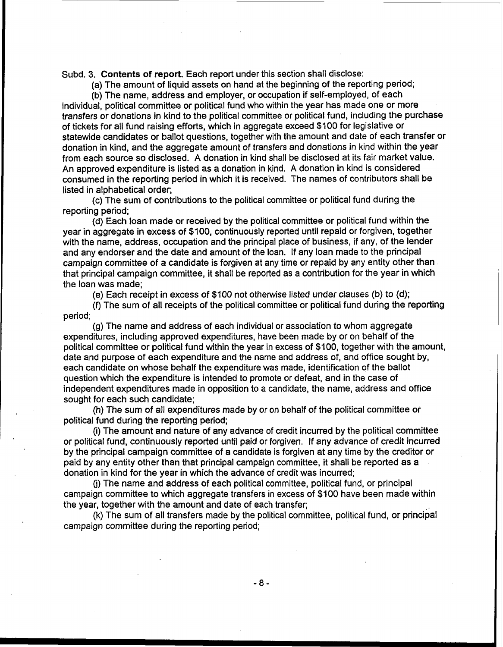Subd. 3. Contents of report. Each report under this section shall disclose:

(a) The amount of liquid assets on hand at the beginning of the reporting period;

(b) The name, address and employer, or occupation if self-employed, of each individual, political committee or political fund who within the year has made one or more transfers or donations in kind to the political committee or political fund, including the purchase of tickets for all fund raising efforts, which in aggregate exceed \$100 for legislative or statewide candidates or ballot questions, together with the amount and date of each transfer or donation in kind, and the aggregate amount of transfers and donations in kind within the year from each source so disclosed. A donation in kind shall be disclosed at its fair market value. An approved expenditure is listed as a donation in kind. A donation in kind is considered consumed in the reporting period in which it is received. The names of contributors shall be listed in alphabetical order;

(c) The sum of contributions to the political committee or political fund during the reporting period;

(d) Each loan made or received by the political committee or political fund within the year in aggregate in excess of \$100, continuously reported until repaid or forgiven, together with the name, address, occupation and the principal place of business, if any, of the lender and any endorser and the date and amount of the loan. If any loan made to the principal campaign committee of a candidate is forgiven at any time or repaid by any entity other than that principal campaign committee, it shall be reported as a contribution for the year in which the loan was made;

(e) Each receipt in excess of \$100 not otherwise listed under clauses (b) to (d);

(f) The sum of all receipts of the political committee or political fund during the reporting period;

(g) The name and address of each individual or association to whom aggregate expenditures, including approved expenditures, have been made by or on behalf of the political committee or political fund within the year in excess of \$100, together with the amount, date and purpose of each expenditure and the name and address of, and office sought by, each candidate on whose behalf the expenditure was made, identification of the ballot question which the expenditure is intended to promote or defeat, and in the case of independent expenditures made in opposition to a candidate, the name, address and office sought for each such candidate;

(h) The sum of all expenditures made by or on behalf of the political committee or political fund during the reporting period;

(i) The amount and nature of any advance of credit incurred by the political committee or political fund, continuously reported until paid or forgiven. If any advance of credit incurred by the principal campaign committee of a candidate is forgiven at any time by the creditor or paid by any entity other than that principal campaign committee, it shall be reported as a donation in kind for the year in which the advance of credit was incurred;

(j) The name and address of each political committee, political fund, or principal campaign committee to which aggregate transfers in excess of \$100 have been made within the year, together with the amount and date of each transfer;

(k) The sum of all transfers made by the political committee, political fund, or principal campaign committee during the reporting period;